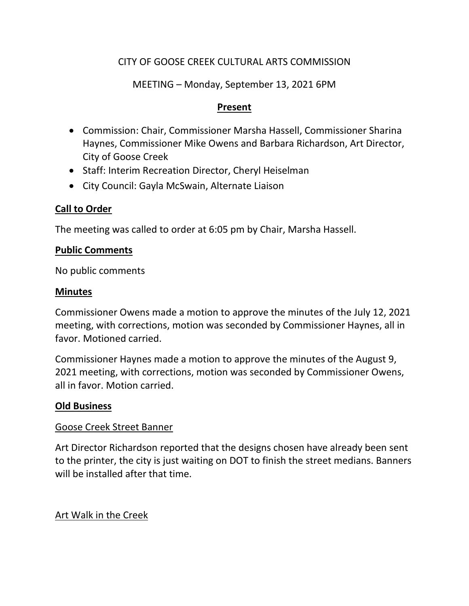# CITY OF GOOSE CREEK CULTURAL ARTS COMMISSION

## MEETING – Monday, September 13, 2021 6PM

### **Present**

- Commission: Chair, Commissioner Marsha Hassell, Commissioner Sharina Haynes, Commissioner Mike Owens and Barbara Richardson, Art Director, City of Goose Creek
- Staff: Interim Recreation Director, Cheryl Heiselman
- City Council: Gayla McSwain, Alternate Liaison

## **Call to Order**

The meeting was called to order at 6:05 pm by Chair, Marsha Hassell.

#### **Public Comments**

No public comments

#### **Minutes**

Commissioner Owens made a motion to approve the minutes of the July 12, 2021 meeting, with corrections, motion was seconded by Commissioner Haynes, all in favor. Motioned carried.

Commissioner Haynes made a motion to approve the minutes of the August 9, 2021 meeting, with corrections, motion was seconded by Commissioner Owens, all in favor. Motion carried.

## **Old Business**

#### Goose Creek Street Banner

Art Director Richardson reported that the designs chosen have already been sent to the printer, the city is just waiting on DOT to finish the street medians. Banners will be installed after that time.

## Art Walk in the Creek